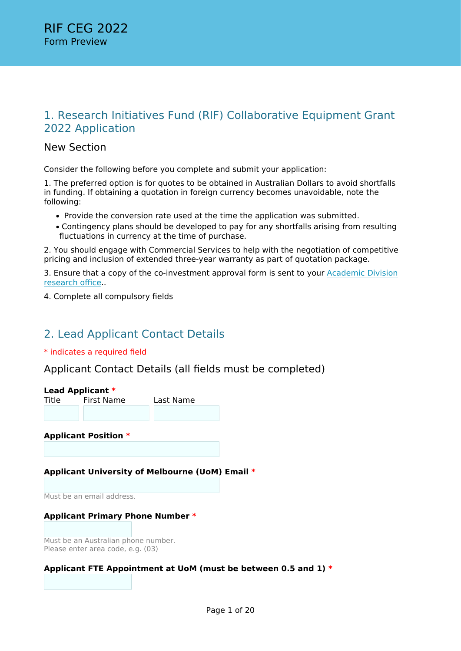# 1. Research Initiatives Fund (RIF) Collaborative Equipment Grant 2022 Application

## New Section

Consider the following before you complete and submit your application:

1. The preferred option is for quotes to be obtained in Australian Dollars to avoid shortfalls in funding. If obtaining a quotation in foreign currency becomes unavoidable, note the following:

- Provide the conversion rate used at the time the application was submitted.
- Contingency plans should be developed to pay for any shortfalls arising from resulting fluctuations in currency at the time of purchase.

2. You should engage with Commercial Services to help with the negotiation of competitive pricing and inclusion of extended three-year warranty as part of quotation package.

3. Ensure that a copy of the co-investment approval form is sent to your [Academic Division](https://gateway.research.unimelb.edu.au/directory/contact-lists/your-academic-division-research-contacts) [research office.](https://gateway.research.unimelb.edu.au/directory/contact-lists/your-academic-division-research-contacts).

4. Complete all compulsory fields

# 2. Lead Applicant Contact Details

### \* indicates a required field

Applicant Contact Details (all fields must be completed)

|       | Lead Applicant *            |           |  |
|-------|-----------------------------|-----------|--|
| Title | <b>First Name</b>           | Last Name |  |
|       |                             |           |  |
|       | <b>Applicant Position *</b> |           |  |
|       |                             |           |  |
|       |                             |           |  |

## **Applicant University of Melbourne (UoM) Email \***

Must be an email address.

### **Applicant Primary Phone Number \***

Must be an Australian phone number. Please enter area code, e.g. (03)

### **Applicant FTE Appointment at UoM (must be between 0.5 and 1) \***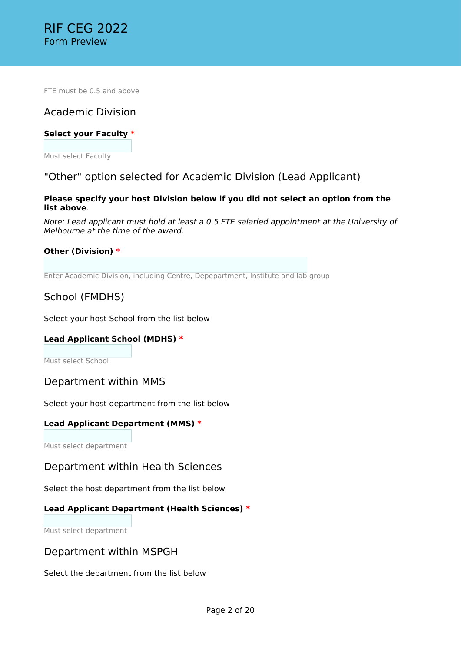FTE must be 0.5 and above

## Academic Division

### **Select your Faculty \***

Must select Faculty

## "Other" option selected for Academic Division (Lead Applicant)

### **Please specify your host Division below if you did not select an option from the list above**.

*Note: Lead applicant must hold at least a 0.5 FTE salaried appointment at the University of Melbourne at the time of the award.*

### **Other (Division) \***

Enter Academic Division, including Centre, Depepartment, Institute and lab group

## School (FMDHS)

Select your host School from the list below

### **Lead Applicant School (MDHS) \***

Must select School

## Department within MMS

Select your host department from the list below

### **Lead Applicant Department (MMS) \***

Must select department

## Department within Health Sciences

Select the host department from the list below

### **Lead Applicant Department (Health Sciences) \***

Must select department

## Department within MSPGH

Select the department from the list below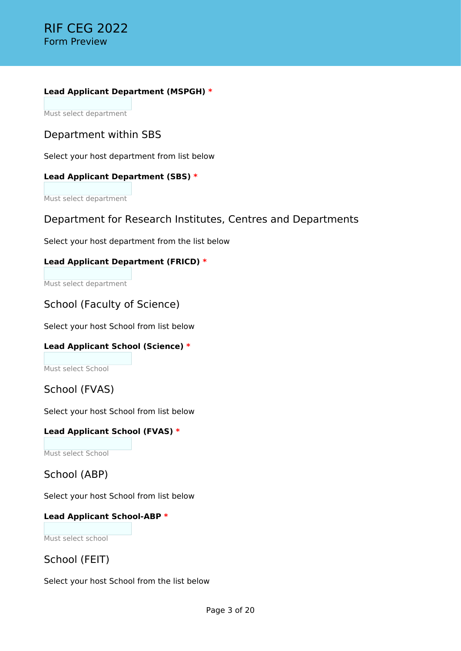### **Lead Applicant Department (MSPGH) \***

Must select department

## Department within SBS

Select your host department from list below

## **Lead Applicant Department (SBS) \***

Must select department

## Department for Research Institutes, Centres and Departments

Select your host department from the list below

## **Lead Applicant Department (FRICD) \***

Must select department

## School (Faculty of Science)

Select your host School from list below

## **Lead Applicant School (Science) \***

Must select School

## School (FVAS)

Select your host School from list below

## **Lead Applicant School (FVAS) \***

Must select School

## School (ABP)

Select your host School from list below

## **Lead Applicant School-ABP \***

Must select school

School (FEIT)

Select your host School from the list below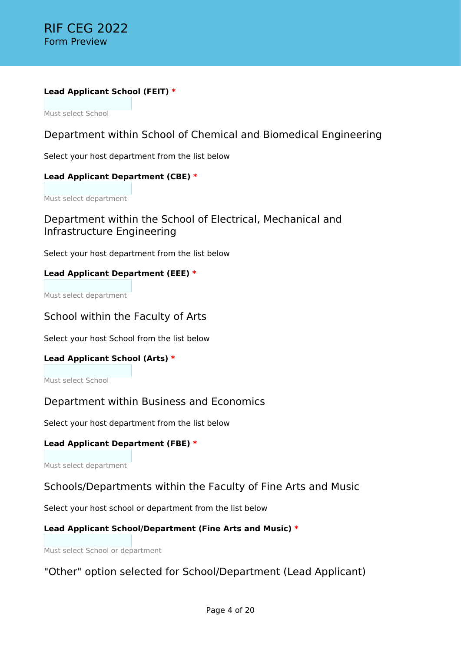### **Lead Applicant School (FEIT) \***

Must select School

```
Department within School of Chemical and Biomedical Engineering
```
Select your host department from the list below

### **Lead Applicant Department (CBE) \***

Must select department

## Department within the School of Electrical, Mechanical and Infrastructure Engineering

Select your host department from the list below

## **Lead Applicant Department (EEE) \***

Must select department

## School within the Faculty of Arts

Select your host School from the list below

### **Lead Applicant School (Arts) \***

Must select School

## Department within Business and Economics

Select your host department from the list below

### **Lead Applicant Department (FBE) \***

Must select department

## Schools/Departments within the Faculty of Fine Arts and Music

Select your host school or department from the list below

## **Lead Applicant School/Department (Fine Arts and Music) \***

Must select School or department

## "Other" option selected for School/Department (Lead Applicant)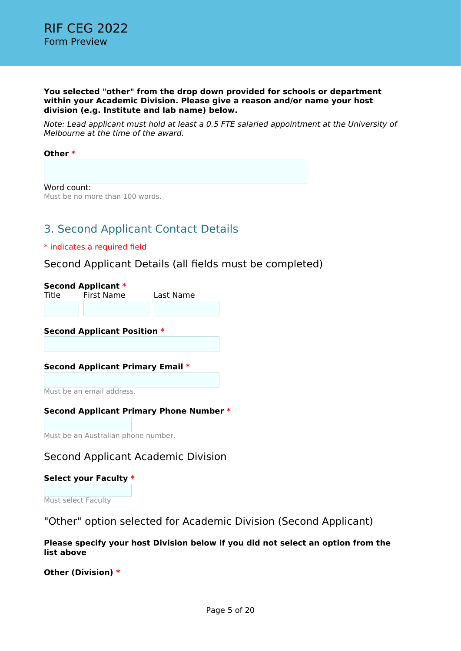#### **You selected "other" from the drop down provided for schools or department within your Academic Division. Please give a reason and/or name your host division (e.g. Institute and lab name) below.**

*Note: Lead applicant must hold at least a 0.5 FTE salaried appointment at the University of Melbourne at the time of the award.*

#### **Other \***

Word count: Must be no more than 100 words.

# 3. Second Applicant Contact Details

#### \* indicates a required field

## Second Applicant Details (all fields must be completed)

|       | <b>Second Applicant *</b> |           |
|-------|---------------------------|-----------|
| Title | First Name                | Last Name |
|       |                           |           |

#### **Second Applicant Position \***

### **Second Applicant Primary Email \***

Must be an email address.

### **Second Applicant Primary Phone Number \***

Must be an Australian phone number.

## Second Applicant Academic Division

#### **Select your Faculty \***

Must select Faculty

"Other" option selected for Academic Division (Second Applicant)

**Please specify your host Division below if you did not select an option from the list above**

**Other (Division) \***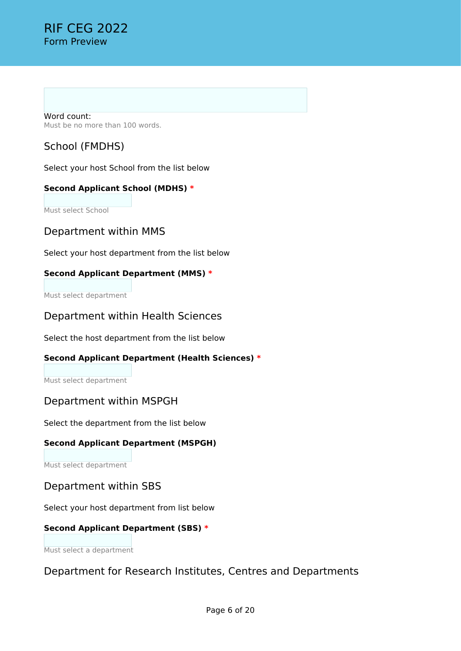Word count: Must be no more than 100 words.

# School (FMDHS)

Select your host School from the list below

## **Second Applicant School (MDHS) \***

Must select School

## Department within MMS

Select your host department from the list below

## **Second Applicant Department (MMS) \***

Must select department

## Department within Health Sciences

Select the host department from the list below

## **Second Applicant Department (Health Sciences) \***

Must select department

## Department within MSPGH

Select the department from the list below

## **Second Applicant Department (MSPGH)**

Must select department

## Department within SBS

Select your host department from list below

## **Second Applicant Department (SBS) \***

Must select a department

## Department for Research Institutes, Centres and Departments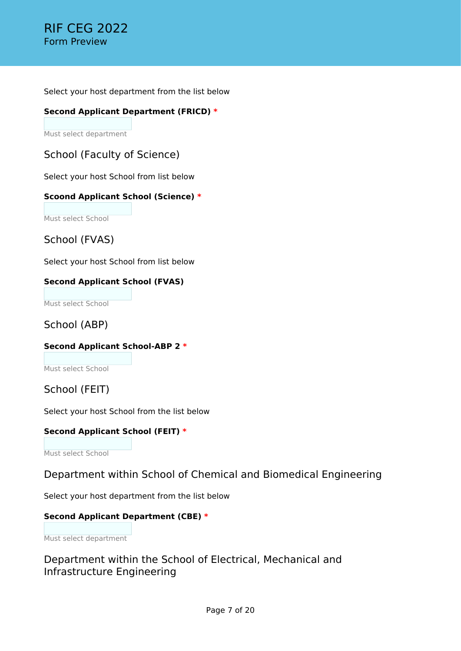Select your host department from the list below

### **Second Applicant Department (FRICD) \***

Must select department

School (Faculty of Science)

Select your host School from list below

### **Scoond Applicant School (Science) \***

Must select School

School (FVAS)

Select your host School from list below

## **Second Applicant School (FVAS)**

Must select School

School (ABP)

## **Second Applicant School-ABP 2 \***

Must select School

School (FEIT)

Select your host School from the list below

### **Second Applicant School (FEIT) \***

Must select School

## Department within School of Chemical and Biomedical Engineering

Select your host department from the list below

## **Second Applicant Department (CBE) \***

Must select department

Department within the School of Electrical, Mechanical and Infrastructure Engineering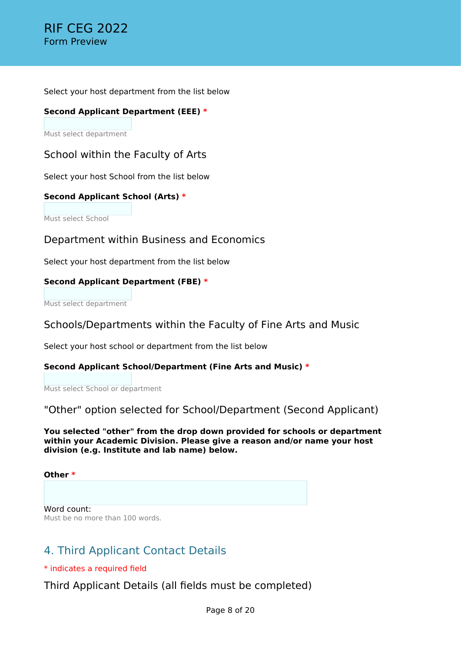Select your host department from the list below

### **Second Applicant Department (EEE) \***

Must select department

School within the Faculty of Arts

Select your host School from the list below

### **Second Applicant School (Arts) \***

Must select School

Department within Business and Economics

Select your host department from the list below

### **Second Applicant Department (FBE) \***

Must select department

## Schools/Departments within the Faculty of Fine Arts and Music

Select your host school or department from the list below

### **Second Applicant School/Department (Fine Arts and Music) \***

Must select School or department

"Other" option selected for School/Department (Second Applicant)

**You selected "other" from the drop down provided for schools or department within your Academic Division. Please give a reason and/or name your host division (e.g. Institute and lab name) below.**

**Other \***

Word count: Must be no more than 100 words.

# 4. Third Applicant Contact Details

\* indicates a required field

Third Applicant Details (all fields must be completed)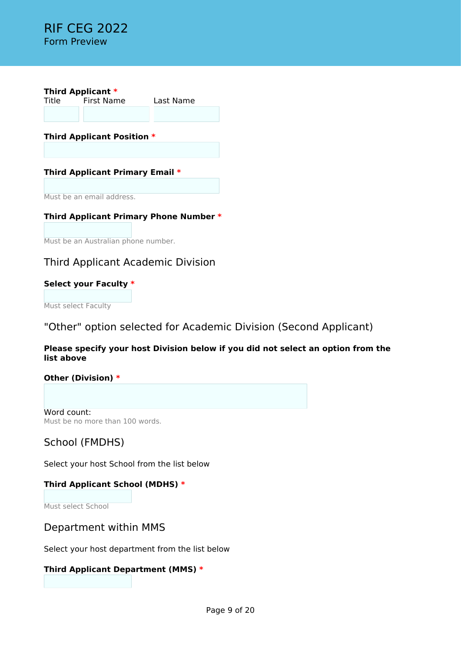

**Third Applicant Position \***

## **Third Applicant Primary Email \***

Must be an email address.

### **Third Applicant Primary Phone Number \***

Must be an Australian phone number.

## Third Applicant Academic Division

### **Select your Faculty \***

Must select Faculty

## "Other" option selected for Academic Division (Second Applicant)

### **Please specify your host Division below if you did not select an option from the list above**

### **Other (Division) \***

Word count: Must be no more than 100 words.

## School (FMDHS)

Select your host School from the list below

## **Third Applicant School (MDHS) \***

Must select School

## Department within MMS

Select your host department from the list below

### **Third Applicant Department (MMS) \***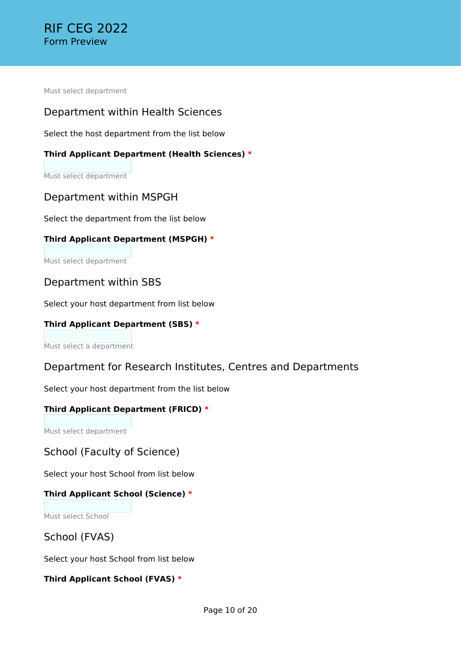Must select department

## Department within Health Sciences

Select the host department from the list below

### **Third Applicant Department (Health Sciences) \***

Must select department

## Department within MSPGH

Select the department from the list below

### **Third Applicant Department (MSPGH) \***

Must select department

## Department within SBS

Select your host department from list below

### **Third Applicant Department (SBS) \***

Must select a department

## Department for Research Institutes, Centres and Departments

Select your host department from the list below

### **Third Applicant Department (FRICD) \***

Must select department

## School (Faculty of Science)

Select your host School from list below

### **Third Applicant School (Science) \***

Must select School

## School (FVAS)

Select your host School from list below

### **Third Applicant School (FVAS) \***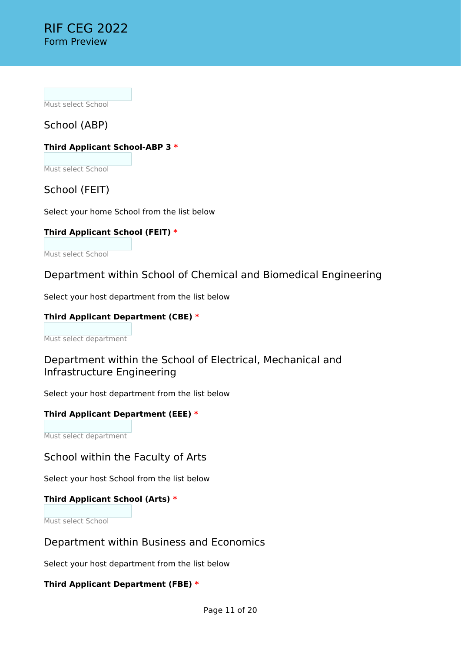Must select School

School (ABP)

## **Third Applicant School-ABP 3 \***

Must select School

## School (FEIT)

Select your home School from the list below

## **Third Applicant School (FEIT) \***

Must select School

## Department within School of Chemical and Biomedical Engineering

Select your host department from the list below

## **Third Applicant Department (CBE) \***

Must select department

## Department within the School of Electrical, Mechanical and Infrastructure Engineering

Select your host department from the list below

## **Third Applicant Department (EEE) \***

Must select department

## School within the Faculty of Arts

Select your host School from the list below

## **Third Applicant School (Arts) \***

Must select School

# Department within Business and Economics

Select your host department from the list below

## **Third Applicant Department (FBE) \***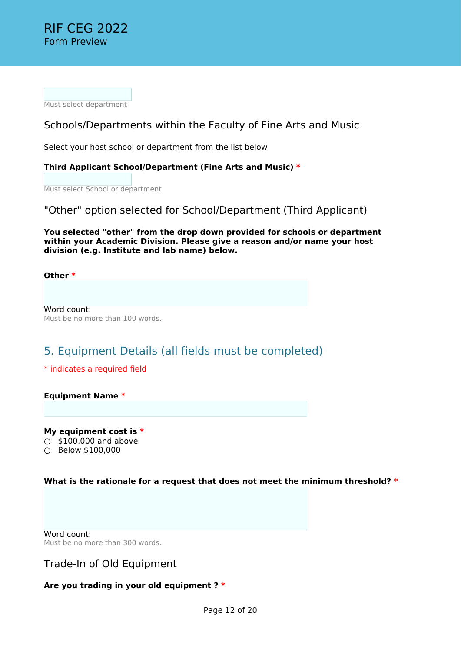Must select department

## Schools/Departments within the Faculty of Fine Arts and Music

Select your host school or department from the list below

### **Third Applicant School/Department (Fine Arts and Music) \***

Must select School or department

"Other" option selected for School/Department (Third Applicant)

**You selected "other" from the drop down provided for schools or department within your Academic Division. Please give a reason and/or name your host division (e.g. Institute and lab name) below.**

**Other \***

Word count: Must be no more than 100 words.

# 5. Equipment Details (all fields must be completed)

#### \* indicates a required field

#### **Equipment Name \***

**My equipment cost is \***  $\circ$  \$100,000 and above ○ Below \$100,000

### **What is the rationale for a request that does not meet the minimum threshold? \***

Word count: Must be no more than 300 words.

## Trade-In of Old Equipment

### **Are you trading in your old equipment ? \***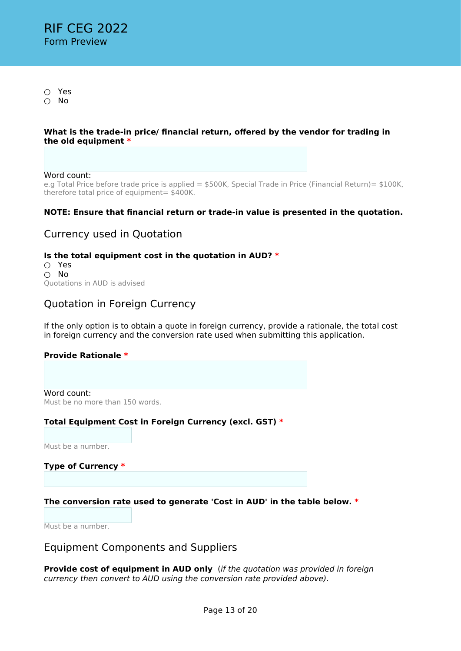○ Yes ○ No

#### **What is the trade-in price/ financial return, offered by the vendor for trading in the old equipment \***

#### Word count:

e.g Total Price before trade price is applied = \$500K, Special Trade in Price (Financial Return)= \$100K, therefore total price of equipment= \$400K.

### **NOTE: Ensure that financial return or trade-in value is presented in the quotation.**

## Currency used in Quotation

### **Is the total equipment cost in the quotation in AUD? \***

○ Yes ○ No Quotations in AUD is advised

## Quotation in Foreign Currency

If the only option is to obtain a quote in foreign currency, provide a rationale, the total cost in foreign currency and the conversion rate used when submitting this application.

#### **Provide Rationale \***

Word count: Must be no more than 150 words.

### **Total Equipment Cost in Foreign Currency (excl. GST) \***

Must be a number.

### **Type of Currency \***

### **The conversion rate used to generate 'Cost in AUD' in the table below. \***

Must be a number.

## Equipment Components and Suppliers

**Provide cost of equipment in AUD only** (*if the quotation was provided in foreign currency then convert to AUD using the conversion rate provided above)*.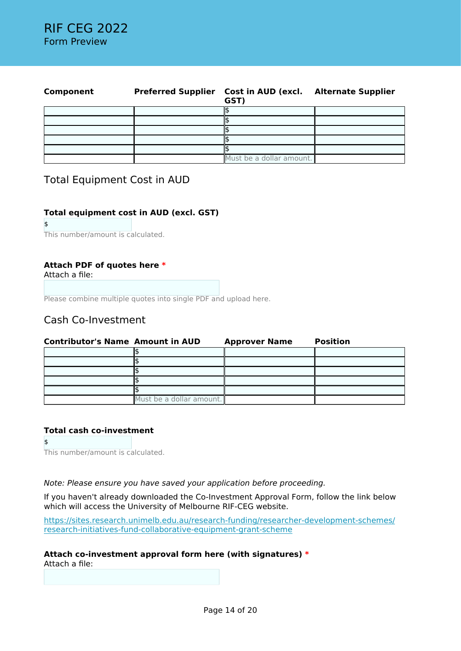| Component | <b>Preferred Supplier</b> | <b>Cost in AUD (excl.</b> Alternate Supplier<br>GST) |  |
|-----------|---------------------------|------------------------------------------------------|--|
|           |                           |                                                      |  |
|           |                           |                                                      |  |
|           |                           |                                                      |  |
|           |                           |                                                      |  |
|           |                           |                                                      |  |
|           |                           | Must be a dollar amount.                             |  |

## Total Equipment Cost in AUD

### **Total equipment cost in AUD (excl. GST)**

\$

This number/amount is calculated.

### **Attach PDF of quotes here \***

Attach a file:

Please combine multiple quotes into single PDF and upload here.

## Cash Co-Investment

| <b>Contributor's Name Amount in AUD</b> |                          | <b>Approver Name</b> | <b>Position</b> |
|-----------------------------------------|--------------------------|----------------------|-----------------|
|                                         |                          |                      |                 |
|                                         |                          |                      |                 |
|                                         |                          |                      |                 |
|                                         |                          |                      |                 |
|                                         |                          |                      |                 |
|                                         | Must be a dollar amount. |                      |                 |

#### **Total cash co-investment**

\$ This number/amount is calculated.

*Note: Please ensure you have saved your application before proceeding.*

If you haven't already downloaded the Co-Investment Approval Form, follow the link below which will access the University of Melbourne RIF-CEG website.

[https://sites.research.unimelb.edu.au/research-funding/researcher-development-schemes/](https://sites.research.unimelb.edu.au/research-funding/researcher-development-schemes/research-initiatives-fund-collaborative-equipment-grant-scheme) [research-initiatives-fund-collaborative-equipment-grant-scheme](https://sites.research.unimelb.edu.au/research-funding/researcher-development-schemes/research-initiatives-fund-collaborative-equipment-grant-scheme)

#### **Attach co-investment approval form here (with signatures) \***

Attach a file: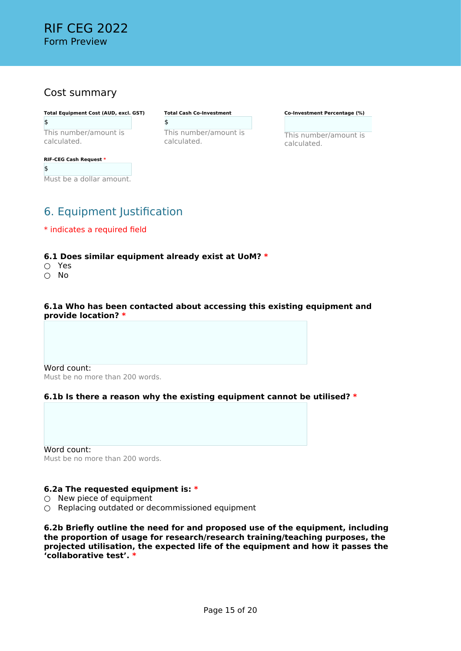## Cost summary

**Total Equipment Cost (AUD, excl. GST)** \$ This number/amount is

calculated.

### **RIF-CEG Cash Request \*** \$ Must be a dollar amount.

**Total Cash Co-Investment** \$ This number/amount is calculated.

**Co-Investment Percentage (%)**

This number/amount is calculated.

# 6. Equipment Justification

\* indicates a required field

### **6.1 Does similar equipment already exist at UoM? \***

- Yes
- No

#### **6.1a Who has been contacted about accessing this existing equipment and provide location? \***

Word count: Must be no more than 200 words.

## **6.1b Is there a reason why the existing equipment cannot be utilised? \***

Word count: Must be no more than 200 words.

### **6.2a The requested equipment is: \***

- $\bigcirc$  New piece of equipment
- Replacing outdated or decommissioned equipment

**6.2b Briefly outline the need for and proposed use of the equipment, including the proportion of usage for research/research training/teaching purposes, the projected utilisation, the expected life of the equipment and how it passes the 'collaborative test'. \***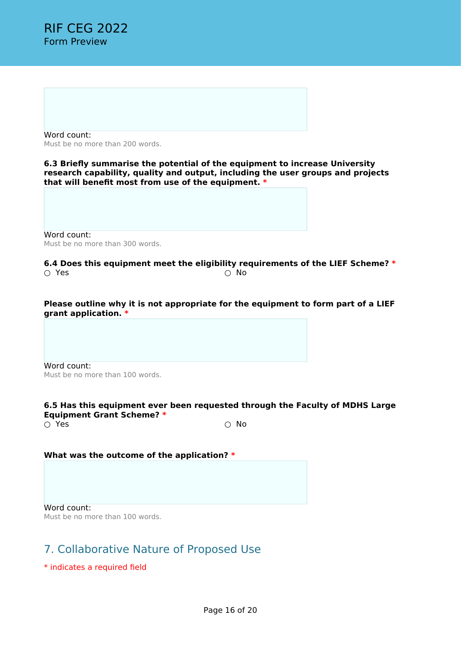Word count: Must be no more than 200 words.

**6.3 Briefly summarise the potential of the equipment to increase University research capability, quality and output, including the user groups and projects that will benefit most from use of the equipment. \***

Word count: Must be no more than 300 words.

**6.4 Does this equipment meet the eligibility requirements of the LIEF Scheme? \***  $\cap$  Yes  $\cap$  No.

**Please outline why it is not appropriate for the equipment to form part of a LIEF grant application. \***

Word count: Must be no more than 100 words.

#### **6.5 Has this equipment ever been requested through the Faculty of MDHS Large Equipment Grant Scheme? \***

 $\cap$  Yes  $\cap$  No

#### **What was the outcome of the application? \***

Word count: Must be no more than 100 words.

# 7. Collaborative Nature of Proposed Use

\* indicates a required field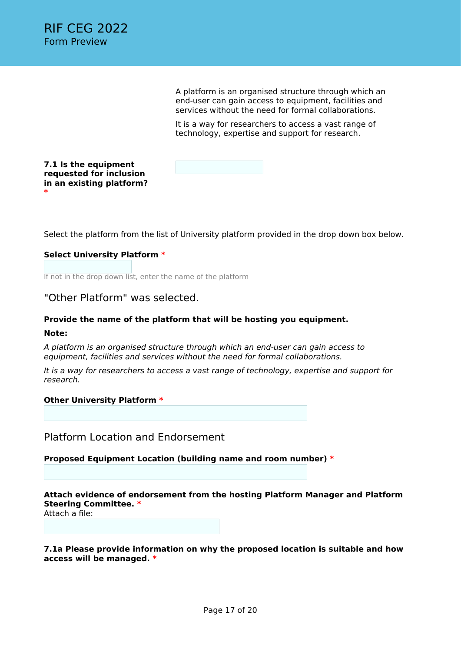A platform is an organised structure through which an end-user can gain access to equipment, facilities and services without the need for formal collaborations.

It is a way for researchers to access a vast range of technology, expertise and support for research.

**7.1 Is the equipment requested for inclusion in an existing platform? \***

Select the platform from the list of University platform provided in the drop down box below.

### **Select University Platform \***

If not in the drop down list, enter the name of the platform

"Other Platform" was selected.

#### **Provide the name of the platform that will be hosting you equipment.**

#### **Note:**

*A platform is an organised structure through which an end-user can gain access to equipment, facilities and services without the need for formal collaborations.*

*It is a way for researchers to access a vast range of technology, expertise and support for research.*

#### **Other University Platform \***

Platform Location and Endorsement

**Proposed Equipment Location (building name and room number) \***

**Attach evidence of endorsement from the hosting Platform Manager and Platform Steering Committee. \***

Attach a file:

**7.1a Please provide information on why the proposed location is suitable and how access will be managed. \***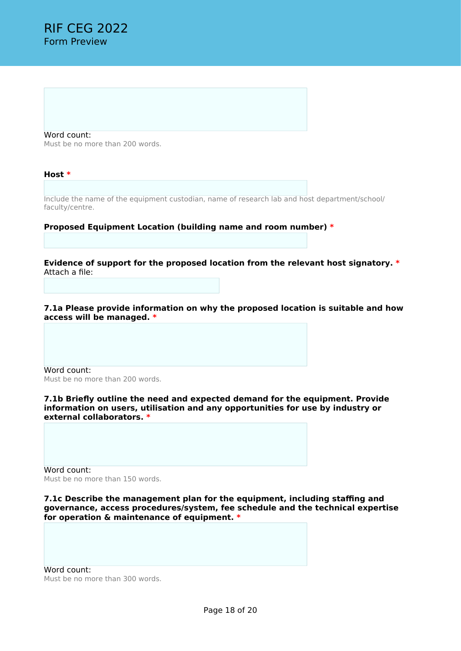Word count: Must be no more than 200 words.

**Host \***

Include the name of the equipment custodian, name of research lab and host department/school/ faculty/centre.

#### **Proposed Equipment Location (building name and room number) \***

**Evidence of support for the proposed location from the relevant host signatory. \*** Attach a file:

**7.1a Please provide information on why the proposed location is suitable and how access will be managed. \***

Word count: Must be no more than 200 words.

**7.1b Briefly outline the need and expected demand for the equipment. Provide information on users, utilisation and any opportunities for use by industry or external collaborators. \***

Word count: Must be no more than 150 words.

**7.1c Describe the management plan for the equipment, including staffing and governance, access procedures/system, fee schedule and the technical expertise for operation & maintenance of equipment. \***

Word count: Must be no more than 300 words.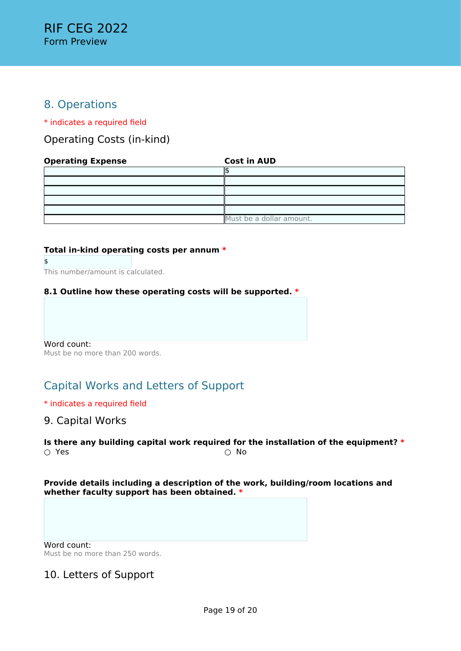# 8. Operations

\* indicates a required field

Operating Costs (in-kind)

### **Operating Expense Cost in AUD**

| Must be a dollar amount. |
|--------------------------|

### **Total in-kind operating costs per annum \***

\$ This number/amount is calculated.

### **8.1 Outline how these operating costs will be supported. \***

Word count: Must be no more than 200 words.

# Capital Works and Letters of Support

### \* indicates a required field

## 9. Capital Works

**Is there any building capital work required for the installation of the equipment?**  $*$  O Yes ○ Yes

**Provide details including a description of the work, building/room locations and whether faculty support has been obtained. \***

Word count: Must be no more than 250 words.

# 10. Letters of Support